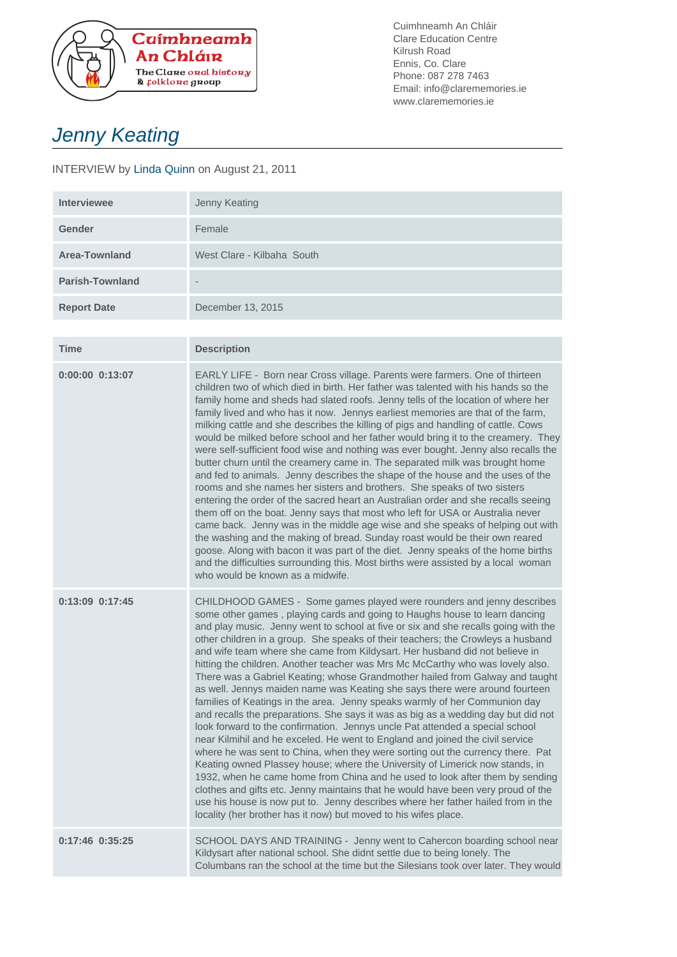

Cuimhneamh An Chláir Clare Education Centre Kilrush Road Ennis, Co. Clare Phone: 087 278 7463 Email: info@clarememories.ie www.clarememories.ie

## Jenny Keating

## INTERVIEW by Linda Quinn on August 21, 2011

| <b>Interviewee</b>     | Jenny Keating              |
|------------------------|----------------------------|
| Gender                 | Female                     |
| Area-Townland          | West Clare - Kilbaha South |
| <b>Parish-Townland</b> | $\qquad \qquad$            |
| <b>Report Date</b>     | December 13, 2015          |

| <b>Time</b>         | <b>Description</b>                                                                                                                                                                                                                                                                                                                                                                                                                                                                                                                                                                                                                                                                                                                                                                                                                                                                                                                                                                                                                                                                                                                                                                                                                                                                                                                                                                                                                                                                            |
|---------------------|-----------------------------------------------------------------------------------------------------------------------------------------------------------------------------------------------------------------------------------------------------------------------------------------------------------------------------------------------------------------------------------------------------------------------------------------------------------------------------------------------------------------------------------------------------------------------------------------------------------------------------------------------------------------------------------------------------------------------------------------------------------------------------------------------------------------------------------------------------------------------------------------------------------------------------------------------------------------------------------------------------------------------------------------------------------------------------------------------------------------------------------------------------------------------------------------------------------------------------------------------------------------------------------------------------------------------------------------------------------------------------------------------------------------------------------------------------------------------------------------------|
| $0:00:00$ $0:13:07$ | EARLY LIFE - Born near Cross village. Parents were farmers. One of thirteen<br>children two of which died in birth. Her father was talented with his hands so the<br>family home and sheds had slated roofs. Jenny tells of the location of where her<br>family lived and who has it now. Jennys earliest memories are that of the farm,<br>milking cattle and she describes the killing of pigs and handling of cattle. Cows<br>would be milked before school and her father would bring it to the creamery. They<br>were self-sufficient food wise and nothing was ever bought. Jenny also recalls the<br>butter churn until the creamery came in. The separated milk was brought home<br>and fed to animals. Jenny describes the shape of the house and the uses of the<br>rooms and she names her sisters and brothers. She speaks of two sisters<br>entering the order of the sacred heart an Australian order and she recalls seeing<br>them off on the boat. Jenny says that most who left for USA or Australia never<br>came back. Jenny was in the middle age wise and she speaks of helping out with<br>the washing and the making of bread. Sunday roast would be their own reared<br>goose. Along with bacon it was part of the diet. Jenny speaks of the home births<br>and the difficulties surrounding this. Most births were assisted by a local woman<br>who would be known as a midwife.                                                                                    |
| 0:13:09 0:17:45     | CHILDHOOD GAMES - Some games played were rounders and jenny describes<br>some other games, playing cards and going to Haughs house to learn dancing<br>and play music. Jenny went to school at five or six and she recalls going with the<br>other children in a group. She speaks of their teachers; the Crowleys a husband<br>and wife team where she came from Kildysart. Her husband did not believe in<br>hitting the children. Another teacher was Mrs Mc McCarthy who was lovely also.<br>There was a Gabriel Keating; whose Grandmother hailed from Galway and taught<br>as well. Jennys maiden name was Keating she says there were around fourteen<br>families of Keatings in the area. Jenny speaks warmly of her Communion day<br>and recalls the preparations. She says it was as big as a wedding day but did not<br>look forward to the confirmation. Jennys uncle Pat attended a special school<br>near Kilmihil and he exceled. He went to England and joined the civil service<br>where he was sent to China, when they were sorting out the currency there. Pat<br>Keating owned Plassey house; where the University of Limerick now stands, in<br>1932, when he came home from China and he used to look after them by sending<br>clothes and gifts etc. Jenny maintains that he would have been very proud of the<br>use his house is now put to. Jenny describes where her father hailed from in the<br>locality (her brother has it now) but moved to his wifes place. |
| 0:17:46 0:35:25     | SCHOOL DAYS AND TRAINING - Jenny went to Cahercon boarding school near<br>Kildysart after national school. She didnt settle due to being lonely. The<br>Columbans ran the school at the time but the Silesians took over later. They would                                                                                                                                                                                                                                                                                                                                                                                                                                                                                                                                                                                                                                                                                                                                                                                                                                                                                                                                                                                                                                                                                                                                                                                                                                                    |